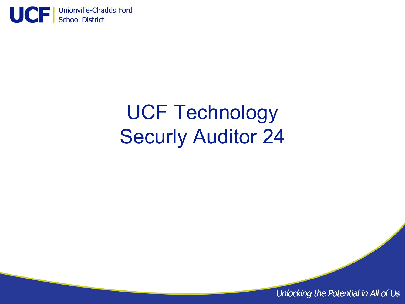

# UCF Technology Securly Auditor 24

Unlocking the Potential in All of Us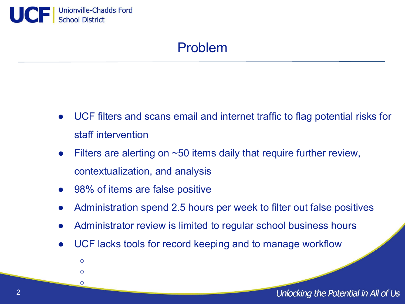

 $\circ$  $\circ$  $\circ$ 

## Problem

- UCF filters and scans email and internet traffic to flag potential risks for staff intervention
- Filters are alerting on  $\sim$  50 items daily that require further review, contextualization, and analysis
- 98% of items are false positive
- Administration spend 2.5 hours per week to filter out false positives
- Administrator review is limited to regular school business hours
- UCF lacks tools for record keeping and to manage workflow

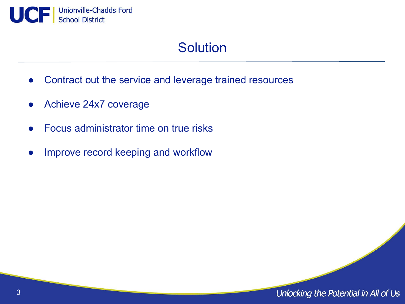

## **Solution**

- Contract out the service and leverage trained resources
- Achieve 24x7 coverage
- Focus administrator time on true risks
- Improve record keeping and workflow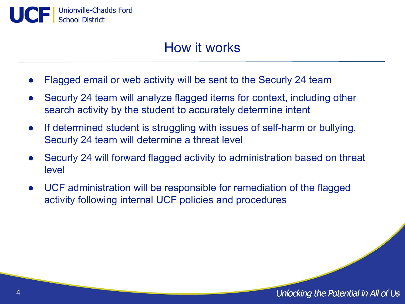

#### How it works

- Flagged email or web activity will be sent to the Securly 24 team
- Securly 24 team will analyze flagged items for context, including other search activity by the student to accurately determine intent
- If determined student is struggling with issues of self-harm or bullying, Securly 24 team will determine a threat level
- Securly 24 will forward flagged activity to administration based on threat level
- UCF administration will be responsible for remediation of the flagged activity following internal UCF policies and procedures